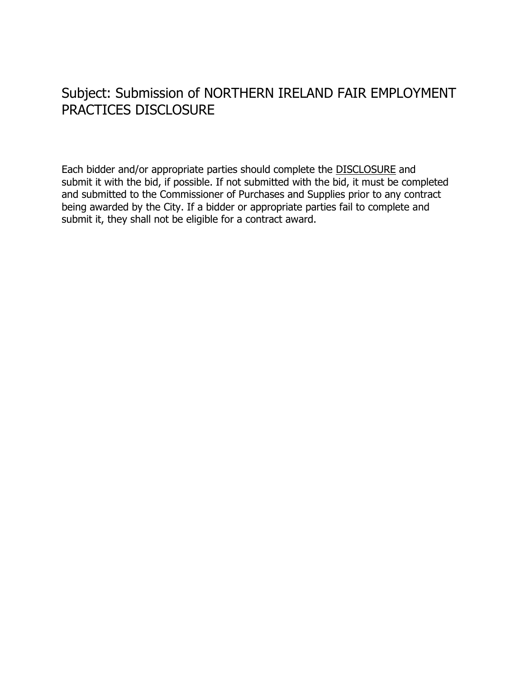## Subject: Submission of NORTHERN IRELAND FAIR EMPLOYMENT PRACTICES DISCLOSURE

Each bidder and/or appropriate parties should complete the DISCLOSURE and submit it with the bid, if possible. If not submitted with the bid, it must be completed and submitted to the Commissioner of Purchases and Supplies prior to any contract being awarded by the City. If a bidder or appropriate parties fail to complete and submit it, they shall not be eligible for a contract award.